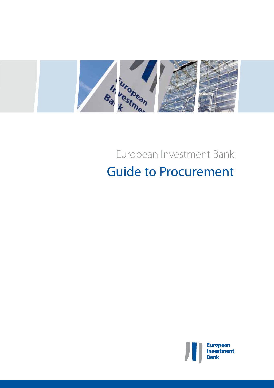

# European Investment Bank Guide to Procurement

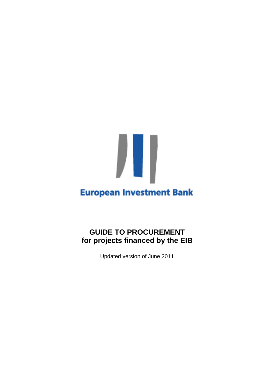# **European Investment Bank**

# **GUIDE TO PROCUREMENT for projects financed by the EIB**

Updated version of June 2011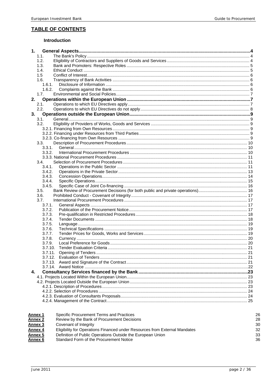#### **TABLE OF CONTENTS**

#### Introduction

| 1.             |                                             |  |
|----------------|---------------------------------------------|--|
| 1.1.           |                                             |  |
| 1.2.           |                                             |  |
| 1.3.           |                                             |  |
| 1.4.           |                                             |  |
| 1.5            |                                             |  |
| 1.6.           |                                             |  |
| 1.6.1.         |                                             |  |
| 1.6.2.         |                                             |  |
| 1.7.           |                                             |  |
| 2.             |                                             |  |
| 2.1.           |                                             |  |
| 2.2.           |                                             |  |
| 3.             |                                             |  |
| 3.1.           |                                             |  |
| 3.2.           |                                             |  |
|                |                                             |  |
|                |                                             |  |
|                |                                             |  |
| 3.3.           |                                             |  |
| 3.3.1.         |                                             |  |
| 3.3.2.         |                                             |  |
|                |                                             |  |
| 3.4.           |                                             |  |
| 3.4.1.         |                                             |  |
| 3.4.2.         |                                             |  |
| 3.4.3.         |                                             |  |
| 3.4.4.         |                                             |  |
| 3.4.5.         |                                             |  |
| 3.5.           |                                             |  |
| 3.6.           |                                             |  |
| 3.7.           |                                             |  |
| 3.7.1.         |                                             |  |
| 3.7.2.         |                                             |  |
| 3.7.3.         |                                             |  |
| 3.7.4.         |                                             |  |
| 3.7.5.         |                                             |  |
| 3.7.6.         |                                             |  |
| 3.7.7.         |                                             |  |
| 3.7.8.         |                                             |  |
| 3.7.9.         |                                             |  |
|                | 3.7.10.                                     |  |
| 3.7.11.        |                                             |  |
|                |                                             |  |
|                |                                             |  |
|                |                                             |  |
| 4.             |                                             |  |
|                |                                             |  |
|                |                                             |  |
|                |                                             |  |
|                |                                             |  |
|                |                                             |  |
|                |                                             |  |
|                |                                             |  |
|                |                                             |  |
| Annex 1        | Specific Procurement Terms and Practices    |  |
| <b>Annex 2</b> | Review by the Bank of Procurement Decisions |  |
| Annex 3        | Covenant of Integrity                       |  |
|                | ment of the Common from External Mondat     |  |

26

28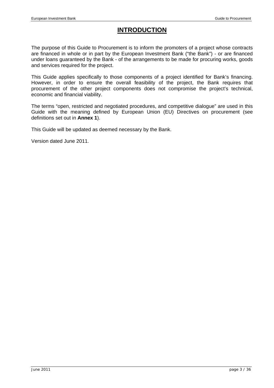# **INTRODUCTION**

The purpose of this Guide to Procurement is to inform the promoters of a project whose contracts are financed in whole or in part by the European Investment Bank ("the Bank") - or are financed under loans guaranteed by the Bank - of the arrangements to be made for procuring works, goods and services required for the project.

This Guide applies specifically to those components of a project identified for Bank's financing. However, in order to ensure the overall feasibility of the project, the Bank requires that procurement of the other project components does not compromise the project's technical, economic and financial viability.

The terms "open, restricted and negotiated procedures, and competitive dialogue" are used in this Guide with the meaning defined by European Union (EU) Directives on procurement (see definitions set out in **Annex 1**).

This Guide will be updated as deemed necessary by the Bank.

Version dated June 2011.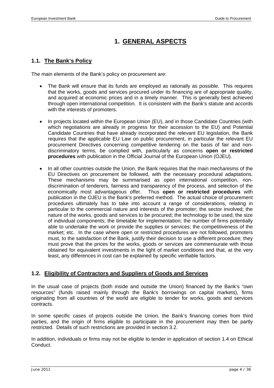# **1. GENERAL ASPECTS**

#### **1.1. The Bank's Policy**

The main elements of the Bank's policy on procurement are:

- The Bank will ensure that its funds are employed as rationally as possible. This requires that the works, goods and services procured under its financing are of appropriate quality, and acquired at economic prices and in a timely manner. This is generally best achieved through open international competition. It is consistent with the Bank's statute and accords with the interests of promoters.
- In projects located within the European Union (EU), and in those Candidate Countries (with which negotiations are already in progress for their accession to the EU) and Potential Candidate Countries that have already incorporated the relevant EU legislation, the Bank requires that the applicable EU Law on public procurement, in particular the relevant EU procurement Directives concerning competitive tendering on the basis of fair and nondiscriminatory terms, be complied with, particularly as concerns **open or restricted procedures** with publication in the Official Journal of the European Union (OJEU).
- In all other countries outside the Union, the Bank requires that the main mechanisms of the EU Directives on procurement be followed, with the necessary procedural adaptations. These mechanisms may be summarised as open international competition, nondiscrimination of tenderers, fairness and transparency of the process, and selection of the economically most advantageous offer. Thus **open or restricted procedures** with publication in the OJEU is the Bank's preferred method. The actual choice of procurement procedures ultimately has to take into account a range of considerations, relating in particular to the commercial nature and interests of the promoter; the sector involved; the nature of the works, goods and services to be procured; the technology to be used; the size of individual components; the timetable for implementation; the number of firms potentially able to undertake the work or provide the supplies or services; the competitiveness of the market; etc. In the case where open or restricted procedures are not followed, promoters must, to the satisfaction of the Bank, justify their decision to use a different procedure; they must prove that the prices for the works, goods or services are commensurate with those obtained for equivalent investments in the light of market conditions and that, at the very least, any differences in cost can be explained by specific verifiable factors.

#### **1.2. Eligibility of Contractors and Suppliers of Goods and Services**

In the usual case of projects (both inside and outside the Union) financed by the Bank's "own resources" (funds raised mainly through the Bank's borrowings on capital markets), firms originating from all countries of the world are eligible to tender for works, goods and services contracts.

In some specific cases of projects outside the Union, the Bank's financing comes from third parties, and the origin of firms eligible to participate in the procurement may then be partly restricted. Details of such restrictions are provided in section 3.2.

In addition, individuals or firms may not be eligible to tender in application of section 1.4 on Ethical Conduct.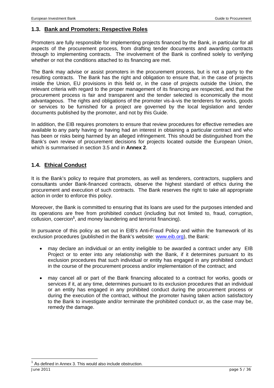#### **1.3. Bank and Promoters: Respective Roles**

Promoters are fully responsible for implementing projects financed by the Bank, in particular for all aspects of the procurement process, from drafting tender documents and awarding contracts through to implementing contracts. The involvement of the Bank is confined solely to verifying whether or not the conditions attached to its financing are met.

The Bank may advise or assist promoters in the procurement process, but is not a party to the resulting contracts. The Bank has the right and obligation to ensure that, in the case of projects inside the Union, EU provisions in this field or, in the case of projects outside the Union, the relevant criteria with regard to the proper management of its financing are respected, and that the procurement process is fair and transparent and the tender selected is economically the most advantageous. The rights and obligations of the promoter vis-à-vis the tenderers for works, goods or services to be furnished for a project are governed by the local legislation and tender documents published by the promoter, and not by this Guide.

In addition, the EIB requires promoters to ensure that review procedures for effective remedies are available to any party having or having had an interest in obtaining a particular contract and who has been or risks being harmed by an alleged infringement. This should be distinguished from the Bank's own review of procurement decisions for projects located outside the European Union, which is summarised in section 3.5 and in **Annex 2**.

#### **1.4. Ethical Conduct**

It is the Bank's policy to require that promoters, as well as tenderers, contractors, suppliers and consultants under Bank-financed contracts, observe the highest standard of ethics during the procurement and execution of such contracts. The Bank reserves the right to take all appropriate action in order to enforce this policy.

Moreover, the Bank is committed to ensuring that its loans are used for the purposes intended and its operations are free from prohibited conduct (including but not limited to, fraud, corruption, collusion, coercion**<sup>1</sup>** , and money laundering and terrorist financing).

In pursuance of this policy as set out in EIB's Anti-Fraud Policy and within the framework of its exclusion procedures (published in the Bank's website: www.eib.org), the Bank:

- may declare an individual or an entity ineligible to be awarded a contract under any EIB Project or to enter into any relationship with the Bank, if it determines pursuant to its exclusion procedures that such individual or entity has engaged in any prohibited conduct in the course of the procurement process and/or implementation of the contract; and
- may cancel all or part of the Bank financing allocated to a contract for works, goods or services if it, at any time, determines pursuant to its exclusion procedures that an individual or an entity has engaged in any prohibited conduct during the procurement process or during the execution of the contract, without the promoter having taken action satisfactory to the Bank to investigate and/or terminate the prohibited conduct or, as the case may be, remedy the damage.

l

As defined in Annex 3. This would also include obstruction.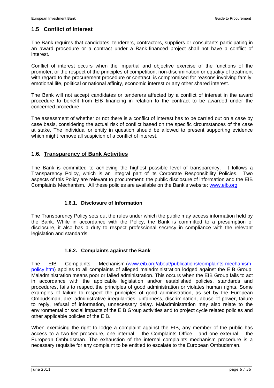#### **1.5 Conflict of Interest**

The Bank requires that candidates, tenderers, contractors, suppliers or consultants participating in an award procedure or a contract under a Bank-financed project shall not have a conflict of interest.

Conflict of interest occurs when the impartial and objective exercise of the functions of the promoter, or the respect of the principles of competition, non-discrimination or equality of treatment with regard to the procurement procedure or contract, is compromised for reasons involving family, emotional life, political or national affinity, economic interest or any other shared interest.

The Bank will not accept candidates or tenderers affected by a conflict of interest in the award procedure to benefit from EIB financing in relation to the contract to be awarded under the concerned procedure.

The assessment of whether or not there is a conflict of interest has to be carried out on a case by case basis, considering the actual risk of conflict based on the specific circumstances of the case at stake. The individual or entity in question should be allowed to present supporting evidence which might remove all suspicion of a conflict of interest.

#### **1.6. Transparency of Bank Activities**

The Bank is committed to achieving the highest possible level of transparency. It follows a Transparency Policy, which is an integral part of its Corporate Responsibility Policies. Two aspects of this Policy are relevant to procurement: the public disclosure of information and the EIB Complaints Mechanism. All these policies are available on the Bank's website: www.eib.org.

#### **1.6.1. Disclosure of Information**

The Transparency Policy sets out the rules under which the public may access information held by the Bank. While in accordance with the Policy, the Bank is committed to a presumption of disclosure, it also has a duty to respect professional secrecy in compliance with the relevant legislation and standards.

#### **1.6.2. Complaints against the Bank**

The EIB Complaints Mechanism (www.eib.org/about/publications/complaints-mechanismpolicy.htm) applies to all complaints of alleged maladministration lodged against the EIB Group. Maladministration means poor or failed administration. This occurs when the EIB Group fails to act in accordance with the applicable legislation and/or established policies, standards and procedures, fails to respect the principles of good administration or violates human rights. Some examples of failure to respect the principles of good administration, as set by the European Ombudsman, are: administrative irregularities, unfairness, discrimination, abuse of power, failure to reply, refusal of information, unnecessary delay. Maladministration may also relate to the environmental or social impacts of the EIB Group activities and to project cycle related policies and other applicable policies of the EIB.

When exercising the right to lodge a complaint against the EIB, any member of the public has access to a two-tier procedure, one internal – the Complaints Office - and one external – the European Ombudsman. The exhaustion of the internal complaints mechanism procedure is a necessary requisite for any complaint to be entitled to escalate to the European Ombudsman.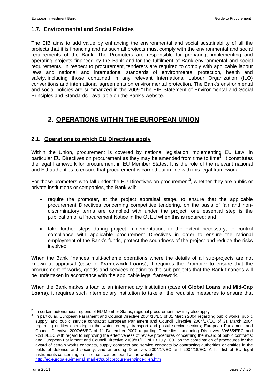#### **1.7. Environmental and Social Policies**

The EIB aims to add value by enhancing the environmental and social sustainability of all the projects that it is financing and as such all projects must comply with the environmental and social requirements of the Bank. The Promoters are responsible for preparing, implementing and operating projects financed by the Bank and for the fulfilment of Bank environmental and social requirements. In respect to procurement, tenderers are required to comply with applicable labour laws and national and international standards of environmental protection, health and safety, including those contained in any relevant International Labour Organization (ILO) conventions and international agreements on environmental protection. The Bank's environmental and social policies are summarized in the 2009 "The EIB Statement of Environmental and Social Principles and Standards", available on the Bank's website.

# **2. OPERATIONS WITHIN THE EUROPEAN UNION**

#### **2.1. Operations to which EU Directives apply**

Within the Union, procurement is covered by national legislation implementing EU Law, in particular EU Directives on procurement as they may be amended from time to time<sup>2</sup> It constitutes the legal framework for procurement in EU Member States. It is the role of the relevant national and EU authorities to ensure that procurement is carried out in line with this legal framework.

For those promoters who fall under the EU Directives on procurement<sup>3</sup>, whether they are public or private institutions or companies, the Bank will:

- require the promoter, at the project appraisal stage, to ensure that the applicable procurement Directives concerning competitive tendering, on the basis of fair and nondiscriminatory terms are complied with under the project; one essential step is the publication of a Procurement Notice in the OJEU when this is required; and
- take further steps during project implementation, to the extent necessary, to control compliance with applicable procurement Directives in order to ensure the rational employment of the Bank's funds, protect the soundness of the project and reduce the risks involved.

When the Bank finances multi-scheme operations where the details of all sub-projects are not known at appraisal (case of **Framework Loans**), it requires the Promoter to ensure that the procurement of works, goods and services relating to the sub-projects that the Bank finances will be undertaken in accordance with the applicable legal framework.

When the Bank makes a loan to an intermediary institution (case of **Global Loans** and **Mid-Cap Loans**), it requires such intermediary institution to take all the requisite measures to ensure that

<sup>&</sup>lt;sup>2</sup> In certain autonomous regions of EU Member States, regional procurement law may also apply.<br><sup>3</sup> In porticular, European Perliament and Council Directive 2004/18/EC of 34 March 2004 regarding

**<sup>&</sup>lt;sup>3</sup>** In particular, European Parliament and Council Directive 2004/18/EC of 31 March 2004 regarding public works, public supply, and public service contracts; European Parliament and Council Directive 2004/17/EC of 31 March 2004 regarding entities operating in the water, energy, transport and postal service sectors; European Parliament and Council Directive 2007/66/EC of 11 December 2007 regarding Remedies, amending Directives 89/665/EEC and 92/13/EEC with regard to improving the effectiveness of review procedures concerning the award of public contracts; and European Parliament and Council Directive 2009/81/EC of 13 July 2009 on the coordination of procedures for the award of certain works contracts, supply contracts and service contracts by contracting authorities or entities in the fields of defence and security, and amending Directives 2004/17/EC and 2004/18/EC. A full list of EU legal instruments concerning procurement can be found at the website: http://ec.europa.eu/internal\_market/publicprocurement/index\_en.htm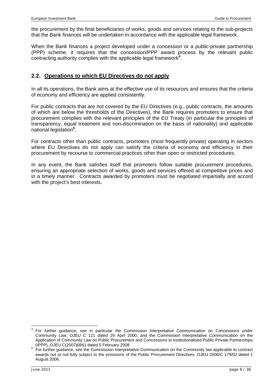the procurement by the final beneficiaries of works, goods and services relating to the sub-projects that the Bank finances will be undertaken in accordance with the applicable legal framework.

When the Bank finances a project developed under a concession or a public-private partnership (PPP) scheme, it requires that the concession/PPP award process by the relevant public contracting authority complies with the applicable legal framework**<sup>4</sup>** .

#### **2.2. Operations to which EU Directives do not apply**

In all its operations, the Bank aims at the effective use of its resources and ensures that the criteria of economy and efficiency are applied consistently.

For public contracts that are not covered by the EU Directives (e.g., public contracts, the amounts of which are below the thresholds of the Directives), the Bank requires promoters to ensure that procurement complies with the relevant principles of the EU Treaty (in particular the principles of transparency, equal treatment and non-discrimination on the basis of nationality) and applicable national legislation**<sup>5</sup>** .

For contracts other than public contracts, promoters (most frequently private) operating in sectors where EU Directives do not apply can satisfy the criteria of economy and efficiency in their procurement by recourse to commercial practices other than open or restricted procedures.

In any event, the Bank satisfies itself that promoters follow suitable procurement procedures, ensuring an appropriate selection of works, goods and services offered at competitive prices and in a timely manner. Contracts awarded by promoters must be negotiated impartially and accord with the project's best interests.

l

<sup>4</sup> For further guidance, see in particular the Commission Interpretative Communication on Concessions under Community Law, OJEU C 121 dated 29 April 2000, and the Commission Interpretative Communication on the Application of Community Law on Public Procurement and Concessions to Institutionalised Public-Private Partnerships (IPPP), OJEU C(2007)6661 dated 5 February 2008.

For further guidance, see the Commission Interpretative Communication on the Community law applicable to contract awards not or not fully subject to the provisions of the Public Procurement Directives, OJEU 2006/C 179/02 dated 1 August 2006.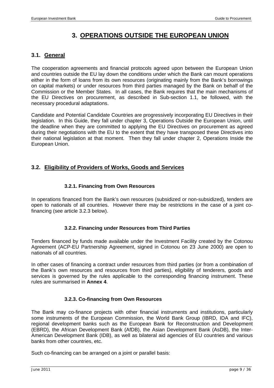# **3. OPERATIONS OUTSIDE THE EUROPEAN UNION**

#### **3.1. General**

The cooperation agreements and financial protocols agreed upon between the European Union and countries outside the EU lay down the conditions under which the Bank can mount operations either in the form of loans from its own resources (originating mainly from the Bank's borrowings on capital markets) or under resources from third parties managed by the Bank on behalf of the Commission or the Member States. In all cases, the Bank requires that the main mechanisms of the EU Directives on procurement, as described in Sub-section 1.1, be followed, with the necessary procedural adaptations.

Candidate and Potential Candidate Countries are progressively incorporating EU Directives in their legislation. In this Guide, they fall under chapter 3, Operations Outside the European Union, until the deadline when they are committed to applying the EU Directives on procurement as agreed during their negotiations with the EU to the extent that they have transposed these Directives into their national legislation at that moment. Then they fall under chapter 2, Operations Inside the European Union.

#### **3.2. Eligibility of Providers of Works, Goods and Services**

#### **3.2.1. Financing from Own Resources**

In operations financed from the Bank's own resources (subsidized or non-subsidized), tenders are open to nationals of all countries. However there may be restrictions in the case of a joint cofinancing (see article 3.2.3 below).

#### **3.2.2. Financing under Resources from Third Parties**

Tenders financed by funds made available under the Investment Facility created by the Cotonou Agreement (ACP-EU Partnership Agreement, signed in Cotonou on 23 June 2000) are open to nationals of all countries.

In other cases of financing a contract under resources from third parties (or from a combination of the Bank's own resources and resources from third parties), eligibility of tenderers, goods and services is governed by the rules applicable to the corresponding financing instrument. These rules are summarised in **Annex 4**.

#### **3.2.3. Co-financing from Own Resources**

The Bank may co-finance projects with other financial instruments and institutions, particularly some instruments of the European Commission, the World Bank Group (IBRD, IDA and IFC), regional development banks such as the European Bank for Reconstruction and Development (EBRD), the African Development Bank (AfDB), the Asian Development Bank (AsDB), the Inter-American Development Bank (IDB), as well as bilateral aid agencies of EU countries and various banks from other countries, etc.

Such co-financing can be arranged on a joint or parallel basis: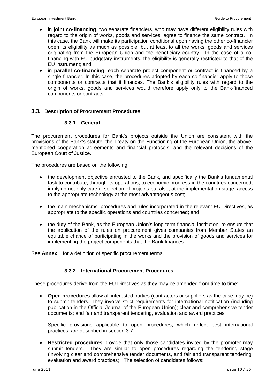- in **joint co-financing**, two separate financiers, who may have different eligibility rules with regard to the origin of works, goods and services, agree to finance the same contract. In this case, the Bank will make its participation conditional upon having the other co-financier open its eligibility as much as possible, but at least to all the works, goods and services originating from the European Union and the beneficiary country. In the case of a cofinancing with EU budgetary instruments, the eligibility is generally restricted to that of the EU instrument; and
- in **parallel co-financing**, each separate project component or contract is financed by a single financier. In this case, the procedures adopted by each co-financier apply to those components or contracts that it finances. The Bank's eligibility rules with regard to the origin of works, goods and services would therefore apply only to the Bank-financed components or contracts.

#### **3.3. Description of Procurement Procedures**

#### **3.3.1. General**

The procurement procedures for Bank's projects outside the Union are consistent with the provisions of the Bank's statute, the Treaty on the Functioning of the European Union, the abovementioned cooperation agreements and financial protocols, and the relevant decisions of the European Court of Justice.

The procedures are based on the following:

- the development objective entrusted to the Bank, and specifically the Bank's fundamental task to contribute, through its operations, to economic progress in the countries concerned, implying not only careful selection of projects but also, at the implementation stage, access to the appropriate technology at the most advantageous cost;
- the main mechanisms, procedures and rules incorporated in the relevant EU Directives, as appropriate to the specific operations and countries concerned; and
- the duty of the Bank, as the European Union's long-term financial institution, to ensure that the application of the rules on procurement gives companies from Member States an equitable chance of participating in the works and the provision of goods and services for implementing the project components that the Bank finances.

See **Annex 1** for a definition of specific procurement terms.

#### **3.3.2. International Procurement Procedures**

These procedures derive from the EU Directives as they may be amended from time to time:

• **Open procedures** allow all interested parties (contractors or suppliers as the case may be) to submit tenders. They involve strict requirements for international notification (including publication in the Official Journal of the European Union); clear and comprehensive tender documents; and fair and transparent tendering, evaluation and award practices.

Specific provisions applicable to open procedures, which reflect best international practices, are described in section 3.7.

• **Restricted procedures** provide that only those candidates invited by the promoter may submit tenders. They are similar to open procedures regarding the tendering stage (involving clear and comprehensive tender documents, and fair and transparent tendering, evaluation and award practices). The selection of candidates follows: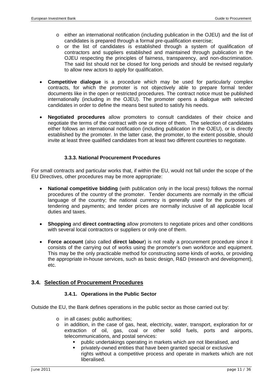- o either an international notification (including publication in the OJEU) and the list of candidates is prepared through a formal pre-qualification exercise;
- o or the list of candidates is established through a system of qualification of contractors and suppliers established and maintained through publication in the OJEU respecting the principles of fairness, transparency, and non-discrimination. The said list should not be closed for long periods and should be revised regularly to allow new actors to apply for qualification.
- **Competitive dialogue** is a procedure which may be used for particularly complex contracts, for which the promoter is not objectively able to prepare formal tender documents like in the open or restricted procedures. The contract notice must be published internationally (including in the OJEU). The promoter opens a dialogue with selected candidates in order to define the means best suited to satisfy his needs.
- **Negotiated procedures** allow promoters to consult candidates of their choice and negotiate the terms of the contract with one or more of them. The selection of candidates either follows an international notification (including publication in the OJEU), or is directly established by the promoter. In the latter case, the promoter, to the extent possible, should invite at least three qualified candidates from at least two different countries to negotiate.

#### **3.3.3. National Procurement Procedures**

For small contracts and particular works that, if within the EU, would not fall under the scope of the EU Directives, other procedures may be more appropriate:

- **National competitive bidding** (with publication only in the local press) follows the normal procedures of the country of the promoter. Tender documents are normally in the official language of the country; the national currency is generally used for the purposes of tendering and payments; and tender prices are normally inclusive of all applicable local duties and taxes.
- **Shopping** and **direct contracting** allow promoters to negotiate prices and other conditions with several local contractors or suppliers or only one of them.
- **Force account** (also called **direct labour**) is not really a procurement procedure since it consists of the carrying out of works using the promoter's own workforce and equipment. This may be the only practicable method for constructing some kinds of works, or providing the appropriate in-house services, such as basic design, R&D (research and development), etc.

#### **3.4. Selection of Procurement Procedures**

#### **3.4.1. Operations in the Public Sector**

Outside the EU, the Bank defines operations in the public sector as those carried out by:

- o in all cases: public authorities;
- o in addition, in the case of gas, heat, electricity, water, transport, exploration for or extraction of oil, gas, coal or other solid fuels, ports and airports, telecommunications, and postal services:
	- public undertakings operating in markets which are not liberalised, and
	- privately-owned entities that have been granted special or exclusive rights without a competitive process and operate in markets which are not liberalised.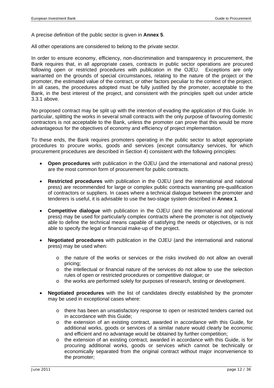A precise definition of the public sector is given in **Annex 5**.

All other operations are considered to belong to the private sector.

In order to ensure economy, efficiency, non-discrimination and transparency in procurement, the Bank requires that, in all appropriate cases, contracts in public sector operations are procured following open or restricted procedures with publication in the OJEU. Exceptions are only warranted on the grounds of special circumstances, relating to the nature of the project or the promoter, the estimated value of the contract, or other factors peculiar to the context of the project. In all cases, the procedures adopted must be fully justified by the promoter, acceptable to the Bank, in the best interest of the project, and consistent with the principles spelt out under article 3.3.1 above.

No proposed contract may be split up with the intention of evading the application of this Guide. In particular, splitting the works in several small contracts with the only purpose of favouring domestic contractors is not acceptable to the Bank, unless the promoter can prove that this would be more advantageous for the objectives of economy and efficiency of project implementation.

To these ends, the Bank requires promoters operating in the public sector to adopt appropriate procedures to procure works, goods and services (except consultancy services, for which procurement procedures are described in Section 4) consistent with the following principles:

- **Open procedures** with publication in the OJEU (and the international and national press) are the most common form of procurement for public contracts.
- **Restricted procedures** with publication in the OJEU (and the international and national press) are recommended for large or complex public contracts warranting pre-qualification of contractors or suppliers. In cases where a technical dialogue between the promoter and tenderers is useful, it is advisable to use the two-stage system described in **Annex 1**.
- **Competitive dialogue** with publication in the OJEU (and the international and national press) may be used for particularly complex contracts where the promoter is not objectively able to define the technical means capable of satisfying the needs or objectives, or is not able to specify the legal or financial make-up of the project.
- **Negotiated procedures** with publication in the OJEU (and the international and national press) may be used when:
	- o the nature of the works or services or the risks involved do not allow an overall pricing;
	- $\circ$  the intellectual or financial nature of the services do not allow to use the selection rules of open or restricted procedures or competitive dialogue; or
	- o the works are performed solely for purposes of research, testing or development.
- **Negotiated procedures** with the list of candidates directly established by the promoter may be used in exceptional cases where:
	- o there has been an unsatisfactory response to open or restricted tenders carried out in accordance with this Guide;
	- $\circ$  the extension of an existing contract, awarded in accordance with this Guide, for additional works, goods or services of a similar nature would clearly be economic and efficient and no advantage would be obtained by further competition;
	- o the extension of an existing contract, awarded in accordance with this Guide, is for procuring additional works, goods or services which cannot be technically or economically separated from the original contract without major inconvenience to the promoter;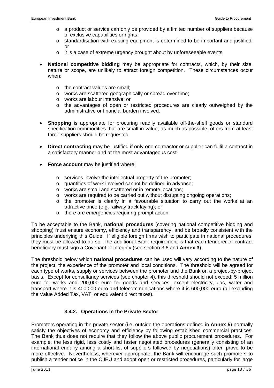- $\circ$  a product or service can only be provided by a limited number of suppliers because of exclusive capabilities or rights;
- $\circ$  standardisation with existing equipment is determined to be important and justified; or
- o it is a case of extreme urgency brought about by unforeseeable events.
- **National competitive bidding** may be appropriate for contracts, which, by their size, nature or scope, are unlikely to attract foreign competition. These circumstances occur when:
	- o the contract values are small;
	- o works are scattered geographically or spread over time;
	- o works are labour intensive; or
	- o the advantages of open or restricted procedures are clearly outweighed by the administrative or financial burden involved.
- **Shopping** is appropriate for procuring readily available off-the-shelf goods or standard specification commodities that are small in value; as much as possible, offers from at least three suppliers should be requested.
- **Direct contracting** may be justified if only one contractor or supplier can fulfil a contract in a satisfactory manner and at the most advantageous cost.
- **Force account** may be justified where:
	- o services involve the intellectual property of the promoter;
	- o quantities of work involved cannot be defined in advance;
	- o works are small and scattered or in remote locations;
	- $\circ$  works are required to be carried out without disrupting ongoing operations;
	- $\circ$  the promoter is clearly in a favourable situation to carry out the works at an attractive price (e.g. railway track laying); or
	- o there are emergencies requiring prompt action.

To be acceptable to the Bank, **national procedures** (covering national competitive bidding and shopping) must ensure economy, efficiency and transparency, and be broadly consistent with the principles underlying this Guide. If eligible foreign firms wish to participate in national procedures, they must be allowed to do so. The additional Bank requirement is that each tenderer or contract beneficiary must sign a Covenant of Integrity (see section 3.6 and **Annex 3**).

The threshold below which **national procedures** can be used will vary according to the nature of the project, the experience of the promoter and local conditions. The threshold will be agreed for each type of works, supply or services between the promoter and the Bank on a project-by-project basis. Except for consultancy services (see chapter 4), this threshold should not exceed: 5 million euro for works and 200,000 euro for goods and services, except electricity, gas, water and transport where it is 400,000 euro and telecommunications where it is 600,000 euro (all excluding the Value Added Tax, VAT, or equivalent direct taxes).

#### **3.4.2. Operations in the Private Sector**

Promoters operating in the private sector (i.e. outside the operations defined in **Annex 5**) normally satisfy the objectives of economy and efficiency by following established commercial practices. The Bank thus does not require that they follow the above public procurement procedures. For example, the less rigid, less costly and faster negotiated procedures (generally consisting of an international enquiry among a short-list of suppliers followed by negotiations) often prove to be more effective. Nevertheless, wherever appropriate, the Bank will encourage such promoters to publish a tender notice in the OJEU and adopt open or restricted procedures, particularly for large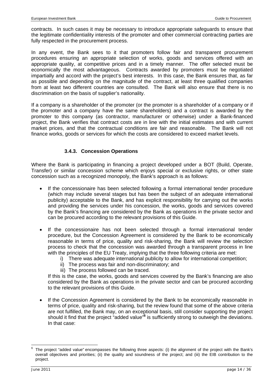contracts. In such cases it may be necessary to introduce appropriate safeguards to ensure that the legitimate confidentiality interests of the promoter and other commercial contracting parties are fully respected in the procurement process.

In any event, the Bank sees to it that promoters follow fair and transparent procurement procedures ensuring an appropriate selection of works, goods and services offered with an appropriate quality, at competitive prices and in a timely manner. The offer selected must be economically the most advantageous. Contracts awarded by promoters must be negotiated impartially and accord with the project's best interests. In this case, the Bank ensures that, as far as possible and depending on the magnitude of the contract, at least three qualified companies from at least two different countries are consulted. The Bank will also ensure that there is no discrimination on the basis of supplier's nationality.

If a company is a shareholder of the promoter (or the promoter is a shareholder of a company or if the promoter and a company have the same shareholders) and a contract is awarded by the promoter to this company (as contractor, manufacturer or otherwise) under a Bank-financed project, the Bank verifies that contract costs are in line with the initial estimates and with current market prices, and that the contractual conditions are fair and reasonable. The Bank will not finance works, goods or services for which the costs are considered to exceed market levels.

#### **3.4.3. Concession Operations**

Where the Bank is participating in financing a project developed under a BOT (Build, Operate, Transfer) or similar concession scheme which enjoys special or exclusive rights, or other state concession such as a recognized monopoly, the Bank's approach is as follows:

- If the concessionaire has been selected following a formal international tender procedure (which may include several stages but has been the subject of an adequate international publicity) acceptable to the Bank, and has explicit responsibility for carrying out the works and providing the services under his concession, the works, goods and services covered by the Bank's financing are considered by the Bank as operations in the private sector and can be procured according to the relevant provisions of this Guide.
- If the concessionaire has not been selected through a formal international tender procedure, but the Concession Agreement is considered by the Bank to be economically reasonable in terms of price, quality and risk-sharing, the Bank will review the selection process to check that the concession was awarded through a transparent process in line with the principles of the EU Treaty, implying that the three following criteria are met:
	- i) There was adequate international publicity to allow for international competition;
		- ii) The process was fair and non-discriminatory; and
		- iii) The process followed can be traced.

If this is the case, the works, goods and services covered by the Bank's financing are also considered by the Bank as operations in the private sector and can be procured according to the relevant provisions of this Guide.

If the Concession Agreement is considered by the Bank to be economically reasonable in terms of price, quality and risk-sharing, but the review found that some of the above criteria are not fulfilled, the Bank may, on an exceptional basis, still consider supporting the project should it find that the project "added value"<sup>6</sup> is sufficiently strong to outweigh the deviations. In that case:

l

<sup>6</sup> The project "added value" encompasses the following three aspects: (i) the alignment of the project with the Bank's overall objectives and priorities; (ii) the quality and soundness of the project; and (iii) the EIB contribution to the project.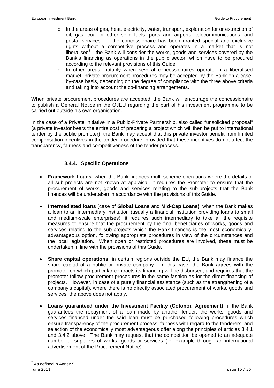- o In the areas of gas, heat, electricity, water, transport, exploration for or extraction of oil, gas, coal or other solid fuels, ports and airports, telecommunications, and postal services - if the concessionaire has been granted special and exclusive rights without a competitive process and operates in a market that is not liberalised**<sup>7</sup>** - the Bank will consider the works, goods and services covered by the Bank's financing as operations in the public sector, which have to be procured according to the relevant provisions of this Guide.
- o In other areas, notably when several concessionaires operate in a liberalised market, private procurement procedures may be accepted by the Bank on a caseby-case basis, depending on the degree of compliance with the three above criteria and taking into account the co-financing arrangements.

When private procurement procedures are accepted, the Bank will encourage the concessionaire to publish a General Notice in the OJEU regarding the part of his investment programme to be carried out outside his own organisation.

In the case of a Private Initiative in a Public-Private Partnership, also called "unsolicited proposal" (a private investor bears the entire cost of preparing a project which will then be put to international tender by the public promoter), the Bank may accept that this private investor benefit from limited compensation incentives in the tender procedure, provided that these incentives do not affect the transparency, fairness and competitiveness of the tender process.

#### **3.4.4. Specific Operations**

- **Framework Loans**: when the Bank finances multi-scheme operations where the details of all sub-projects are not known at appraisal, it requires the Promoter to ensure that the procurement of works, goods and services relating to the sub-projects that the Bank finances will be undertaken in accordance with the provisions of this Guide.
- **Intermediated loans** (case of **Global Loans** and **Mid-Cap Loans)**: when the Bank makes a loan to an intermediary institution (usually a financial institution providing loans to small and medium-scale enterprises), it requires such intermediary to take all the requisite measures to ensure that the procurement by the final beneficiaries of works, goods and services relating to the sub-projects which the Bank finances is the most economicallyadvantageous option, following appropriate procedures in view of the circumstances and the local legislation. When open or restricted procedures are involved, these must be undertaken in line with the provisions of this Guide.
- **Share capital operations:** in certain regions outside the EU, the Bank may finance the share capital of a public or private company. In this case, the Bank agrees with the promoter on which particular contracts its financing will be disbursed, and requires that the promoter follow procurement procedures in the same fashion as for the direct financing of projects. However, in case of a purely financial assistance (such as the strengthening of a company's capital), where there is no directly associated procurement of works, goods and services, the above does not apply.
- **Loans guaranteed under the Investment Facility (Cotonou Agreement)**: if the Bank guarantees the repayment of a loan made by another lender, the works, goods and services financed under the said loan must be purchased following procedures which ensure transparency of the procurement process, fairness with regard to the tenderers, and selection of the economically most advantageous offer along the principles of articles 3.4.1 and 3.4.2 above. The Bank may request that the competition be opened to an adequate number of suppliers of works, goods or services (for example through an international advertisement of the Procurement Notice).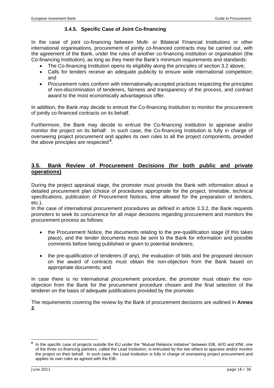#### **3.4.5. Specific Case of Joint Co-financing**

In the case of joint co-financing between Multi- or Bilateral Financial Institutions or other international organisations, procurement of jointly co-financed contracts may be carried out, with the agreement of the Bank, under the rules of another co-financing institution or organisation (the Co-financing Institution), as long as they meet the Bank's minimum requirements and standards:

- The Co-financing Institution opens its eligibility along the principles of section 3.2 above;
- Calls for tenders receive an adequate publicity to ensure wide international competition; and
- Procurement rules conform with internationally-accepted practices respecting the principles of non-discrimination of tenderers, fairness and transparency of the process, and contract award to the most economically advantageous offer.

In addition, the Bank may decide to entrust the Co-financing Institution to monitor the procurement of jointly co-financed contracts on its behalf.

Furthermore, the Bank may decide to entrust the Co-financing institution to appraise and/or monitor the project on its behalf. In such case, the Co-financing Institution is fully in charge of overseeing project procurement and applies its own rules to all the project components, provided the above principles are respected**<sup>8</sup>**.

#### **3.5. Bank Review of Procurement Decisions (for both public and private operations)**

During the project appraisal stage, the promoter must provide the Bank with information about a detailed procurement plan (choice of procedures appropriate for the project, timetable, technical specifications, publication of Procurement Notices, time allowed for the preparation of tenders, etc.).

In the case of international procurement procedures as defined in article 3.3.2, the Bank requests promoters to seek its concurrence for all major decisions regarding procurement and monitors the procurement process as follows:

- the Procurement Notice, the documents relating to the pre-qualification stage (if this takes place), and the tender documents must be sent to the Bank for information and possible comments before being published or given to potential tenderers;
- the pre-qualification of tenderers (if any), the evaluation of bids and the proposed decision on the award of contracts must obtain the non-objection from the Bank based on appropriate documents; and

In case there is no international procurement procedure, the promoter must obtain the nonobjection from the Bank for the procurement procedure chosen and the final selection of the tenderer on the basis of adequate justifications provided by the promoter.

The requirements covering the review by the Bank of procurement decisions are outlined in **Annex 2**.

l

**<sup>8</sup>** In the specific case of projects outside the EU under the "Mutual Reliance Initiative" between EIB, AFD and KfW, one of the three co-financing partners, called the Lead Institution, is entrusted by the two others to appraise and/or monitor the project on their behalf. In such case, the Lead Institution is fully in charge of overseeing project procurement and applies its own rules as agreed with the EIB.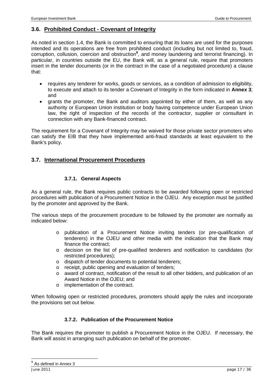#### **3.6. Prohibited Conduct - Covenant of Integrity**

As noted in section 1.4, the Bank is committed to ensuring that its loans are used for the purposes intended and its operations are free from prohibited conduct (including but not limited to, fraud, corruption, collusion, coercion and obstruction**<sup>9</sup>** , and money laundering and terrorist financing). In particular, in countries outside the EU, the Bank will, as a general rule, require that promoters insert in the tender documents (or in the contract in the case of a negotiated procedure) a clause that:

- requires any tenderer for works, goods or services, as a condition of admission to eligibility, to execute and attach to its tender a Covenant of Integrity in the form indicated in **Annex 3**; and
- grants the promoter, the Bank and auditors appointed by either of them, as well as any authority or European Union institution or body having competence under European Union law, the right of inspection of the records of the contractor, supplier or consultant in connection with any Bank-financed contract.

The requirement for a Covenant of Integrity may be waived for those private sector promoters who can satisfy the EIB that they have implemented anti-fraud standards at least equivalent to the Bank's policy.

#### **3.7. International Procurement Procedures**

#### **3.7.1. General Aspects**

As a general rule, the Bank requires public contracts to be awarded following open or restricted procedures with publication of a Procurement Notice in the OJEU. Any exception must be justified by the promoter and approved by the Bank.

The various steps of the procurement procedure to be followed by the promoter are normally as indicated below:

- o publication of a Procurement Notice inviting tenders (or pre-qualification of tenderers) in the OJEU and other media with the indication that the Bank may finance the contract;
- o decision on the list of pre-qualified tenderers and notification to candidates (for restricted procedures);
- o dispatch of tender documents to potential tenderers;
- o receipt, public opening and evaluation of tenders;
- o award of contract, notification of the result to all other bidders, and publication of an Award Notice in the OJEU; and
- o implementation of the contract.

When following open or restricted procedures, promoters should apply the rules and incorporate the provisions set out below.

#### **3.7.2. Publication of the Procurement Notice**

The Bank requires the promoter to publish a Procurement Notice in the OJEU. If necessary, the Bank will assist in arranging such publication on behalf of the promoter.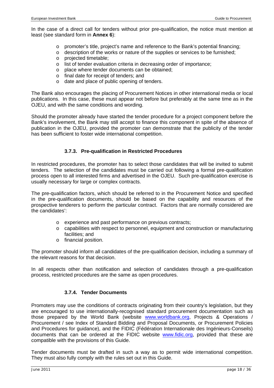In the case of a direct call for tenders without prior pre-qualification, the notice must mention at least (see standard form in **Annex 6**):

- o promoter's title, project's name and reference to the Bank's potential financing;
- o description of the works or nature of the supplies or services to be furnished;
- o projected timetable;
- o list of tender evaluation criteria in decreasing order of importance;
- o place where tender documents can be obtained;
- o final date for receipt of tenders; and
- o date and place of public opening of tenders.

The Bank also encourages the placing of Procurement Notices in other international media or local publications. In this case, these must appear not before but preferably at the same time as in the OJEU, and with the same conditions and wording.

Should the promoter already have started the tender procedure for a project component before the Bank's involvement, the Bank may still accept to finance this component in spite of the absence of publication in the OJEU, provided the promoter can demonstrate that the publicity of the tender has been sufficient to foster wide international competition.

#### **3.7.3. Pre-qualification in Restricted Procedures**

In restricted procedures, the promoter has to select those candidates that will be invited to submit tenders. The selection of the candidates must be carried out following a formal pre-qualification process open to all interested firms and advertised in the OJEU. Such pre-qualification exercise is usually necessary for large or complex contracts.

The pre-qualification factors, which should be referred to in the Procurement Notice and specified in the pre-qualification documents, should be based on the capability and resources of the prospective tenderers to perform the particular contract. Factors that are normally considered are the candidates':

- o experience and past performance on previous contracts;
- o capabilities with respect to personnel, equipment and construction or manufacturing facilities; and
- o financial position.

The promoter should inform all candidates of the pre-qualification decision, including a summary of the relevant reasons for that decision.

In all respects other than notification and selection of candidates through a pre-qualification process, restricted procedures are the same as open procedures.

#### **3.7.4. Tender Documents**

Promoters may use the conditions of contracts originating from their country's legislation, but they are encouraged to use internationally-recognised standard procurement documentation such as those prepared by the World Bank (website www.worldbank.org, Projects & Operations / Procurement / see Index of Standard Bidding and Proposal Documents, or Procurement Policies and Procedures for guidance), and the FIDIC (Fédération Internationale des Ingénieurs-Conseils) documents that can be ordered at the FIDIC website www.fidic.org, provided that these are compatible with the provisions of this Guide.

Tender documents must be drafted in such a way as to permit wide international competition. They must also fully comply with the rules set out in this Guide.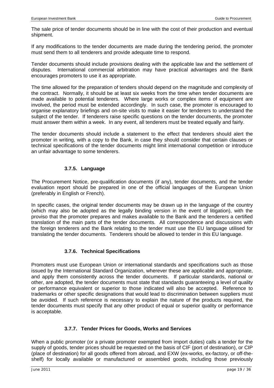The sale price of tender documents should be in line with the cost of their production and eventual shipment.

If any modifications to the tender documents are made during the tendering period, the promoter must send them to all tenderers and provide adequate time to respond.

Tender documents should include provisions dealing with the applicable law and the settlement of disputes. International commercial arbitration may have practical advantages and the Bank encourages promoters to use it as appropriate.

The time allowed for the preparation of tenders should depend on the magnitude and complexity of the contract. Normally, it should be at least six weeks from the time when tender documents are made available to potential tenderers. Where large works or complex items of equipment are involved, the period must be extended accordingly. In such case, the promoter is encouraged to organise explanatory briefings and on-site visits to make it easier for tenderers to understand the subject of the tender. If tenderers raise specific questions on the tender documents, the promoter must answer them within a week. In any event, all tenderers must be treated equally and fairly.

The tender documents should include a statement to the effect that tenderers should alert the promoter in writing, with a copy to the Bank, in case they should consider that certain clauses or technical specifications of the tender documents might limit international competition or introduce an unfair advantage to some tenderers.

#### **3.7.5. Language**

The Procurement Notice, pre-qualification documents (if any), tender documents, and the tender evaluation report should be prepared in one of the official languages of the European Union (preferably in English or French).

In specific cases, the original tender documents may be drawn up in the language of the country (which may also be adopted as the legally binding version in the event of litigation), with the proviso that the promoter prepares and makes available to the Bank and the tenderers a certified translation of the main parts of the tender documents. All correspondence and discussions with the foreign tenderers and the Bank relating to the tender must use the EU language utilised for translating the tender documents. Tenderers should be allowed to tender in this EU language.

#### **3.7.6. Technical Specifications**

Promoters must use European Union or international standards and specifications such as those issued by the International Standard Organization, wherever these are applicable and appropriate, and apply them consistently across the tender documents. If particular standards, national or other, are adopted, the tender documents must state that standards guaranteeing a level of quality or performance equivalent or superior to those indicated will also be accepted. Reference to trademarks or other specific designations that would lead to discrimination between suppliers must be avoided. If such reference is necessary to explain the nature of the products required, the tender documents must specify that any other product of equal or superior quality or performance is acceptable.

#### **3.7.7. Tender Prices for Goods, Works and Services**

When a public promoter (or a private promoter exempted from import duties) calls a tender for the supply of goods, tender prices should be requested on the basis of CIF (port of destination), or CIP (place of destination) for all goods offered from abroad, and EXW (ex-works, ex-factory, or off-theshelf) for locally available or manufactured or assembled goods, including those previously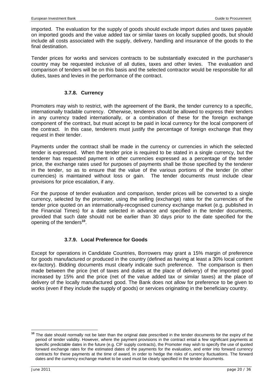imported. The evaluation for the supply of goods should exclude import duties and taxes payable on imported goods and the value added tax or similar taxes on locally supplied goods, but should include all costs associated with the supply, delivery, handling and insurance of the goods to the final destination.

Tender prices for works and services contracts to be substantially executed in the purchaser's country may be requested inclusive of all duties, taxes and other levies. The evaluation and comparison of tenders will be on this basis and the selected contractor would be responsible for all duties, taxes and levies in the performance of the contract.

#### **3.7.8. Currency**

Promoters may wish to restrict, with the agreement of the Bank, the tender currency to a specific, internationally tradable currency. Otherwise, tenderers should be allowed to express their tenders in any currency traded internationally, or a combination of these for the foreign exchange component of the contract, but must accept to be paid in local currency for the local component of the contract. In this case, tenderers must justify the percentage of foreign exchange that they request in their tender.

Payments under the contract shall be made in the currency or currencies in which the selected tender is expressed. When the tender price is required to be stated in a single currency, but the tenderer has requested payment in other currencies expressed as a percentage of the tender price, the exchange rates used for purposes of payments shall be those specified by the tenderer in the tender, so as to ensure that the value of the various portions of the tender (in other currencies) is maintained without loss or gain. The tender documents must include clear provisions for price escalation, if any.

For the purpose of tender evaluation and comparison, tender prices will be converted to a single currency, selected by the promoter, using the selling (exchange) rates for the currencies of the tender price quoted on an internationally-recognised currency exchange market (e.g. published in the Financial Times) for a date selected in advance and specified in the tender documents, provided that such date should not be earlier than 30 days prior to the date specified for the opening of the tenders**<sup>10</sup>**.

#### **3.7.9. Local Preference for Goods**

Except for operations in Candidate Countries, Borrowers may grant a 15% margin of preference for goods manufactured or produced in the country (defined as having at least a 30% local content ex-factory). Bidding documents must clearly indicate such preference. The comparison is then made between the price (net of taxes and duties at the place of delivery) of the imported good increased by 15% and the price (net of the value added tax or similar taxes) at the place of delivery of the locally manufactured good. The Bank does not allow for preference to be given to works (even if they include the supply of goods) or services originating in the beneficiary country.

l **<sup>10</sup>** The date should normally not be later than the original date prescribed in the tender documents for the expiry of the period of tender validity. However, where the payment provisions in the contract entail a few significant payments at specific predictable dates in the future (e.g. CIF supply contracts), the Promoter may wish to specify the use of quoted forward exchange rates for the estimated dates of the payments for the evaluation, and enter into forward currency contracts for these payments at the time of award, in order to hedge the risks of currency fluctuations. The forward dates and the currency exchange market to be used must be clearly specified in the tender documents.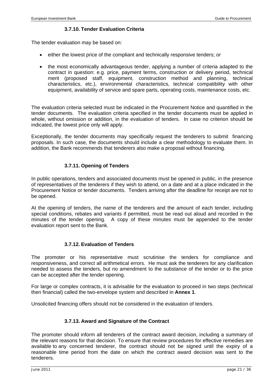#### **3.7.10. Tender Evaluation Criteria**

The tender evaluation may be based on:

- either the lowest price of the compliant and technically responsive tenders; or
- the most economically advantageous tender, applying a number of criteria adapted to the contract in question: e.g. price, payment terms, construction or delivery period, technical merit (proposed staff, equipment, construction method and planning, technical characteristics, etc.), environmental characteristics, technical compatibility with other equipment, availability of service and spare parts, operating costs, maintenance costs, etc.

The evaluation criteria selected must be indicated in the Procurement Notice and quantified in the tender documents. The evaluation criteria specified in the tender documents must be applied in whole, without omission or addition, in the evaluation of tenders. In case no criterion should be indicated, the lowest price only will apply.

Exceptionally, the tender documents may specifically request the tenderers to submit financing proposals. In such case, the documents should include a clear methodology to evaluate them. In addition, the Bank recommends that tenderers also make a proposal without financing.

#### **3.7.11. Opening of Tenders**

In public operations, tenders and associated documents must be opened in public, in the presence of representatives of the tenderers if they wish to attend, on a date and at a place indicated in the Procurement Notice or tender documents. Tenders arriving after the deadline for receipt are not to be opened.

At the opening of tenders, the name of the tenderers and the amount of each tender, including special conditions, rebates and variants if permitted, must be read out aloud and recorded in the minutes of the tender opening. A copy of these minutes must be appended to the tender evaluation report sent to the Bank.

#### **3.7.12. Evaluation of Tenders**

The promoter or his representative must scrutinise the tenders for compliance and responsiveness, and correct all arithmetical errors. He must ask the tenderers for any clarification needed to assess the tenders, but no amendment to the substance of the tender or to the price can be accepted after the tender opening.

For large or complex contracts, it is advisable for the evaluation to proceed in two steps (technical then financial) called the two-envelope system and described in **Annex 1**.

Unsolicited financing offers should not be considered in the evaluation of tenders.

#### **3.7.13. Award and Signature of the Contract**

The promoter should inform all tenderers of the contract award decision, including a summary of the relevant reasons for that decision. To ensure that review procedures for effective remedies are available to any concerned tenderer, the contract should not be signed until the expiry of a reasonable time period from the date on which the contract award decision was sent to the tenderers.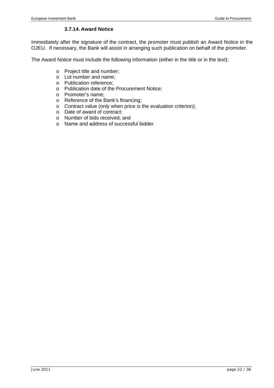#### **3.7.14. Award Notice**

Immediately after the signature of the contract, the promoter must publish an Award Notice in the OJEU. If necessary, the Bank will assist in arranging such publication on behalf of the promoter.

The Award Notice must include the following information (either in the title or in the text):

- o Project title and number;
- o Lot number and name;
- o Publication reference;
- o Publication date of the Procurement Notice;
- o Promoter's name;
- o Reference of the Bank's financing;
- o Contract value (only when price is the evaluation criterion);
- o Date of award of contract;
- o Number of bids received; and
- o Name and address of successful bidder.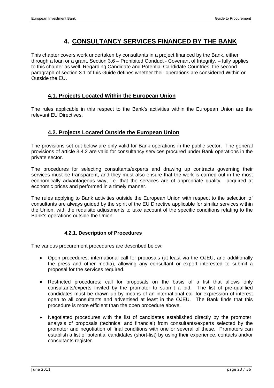# **4. CONSULTANCY SERVICES FINANCED BY THE BANK**

This chapter covers work undertaken by consultants in a project financed by the Bank, either through a loan or a grant. Section 3.6 – Prohibited Conduct - Covenant of Integrity, – fully applies to this chapter as well. Regarding Candidate and Potential Candidate Countries, the second paragraph of section 3.1 of this Guide defines whether their operations are considered Within or Outside the EU.

#### **4.1. Projects Located Within the European Union**

The rules applicable in this respect to the Bank's activities within the European Union are the relevant EU Directives.

#### **4.2. Projects Located Outside the European Union**

The provisions set out below are only valid for Bank operations in the public sector. The general provisions of article 3.4.2 are valid for consultancy services procured under Bank operations in the private sector.

The procedures for selecting consultants/experts and drawing up contracts governing their services must be transparent, and they must also ensure that the work is carried out in the most economically advantageous way, i.e. that the services are of appropriate quality, acquired at economic prices and performed in a timely manner.

The rules applying to Bank activities outside the European Union with respect to the selection of consultants are always guided by the spirit of the EU Directive applicable for similar services within the Union, with the requisite adjustments to take account of the specific conditions relating to the Bank's operations outside the Union.

#### **4.2.1. Description of Procedures**

The various procurement procedures are described below:

- Open procedures: international call for proposals (at least via the OJEU, and additionally the press and other media), allowing any consultant or expert interested to submit a proposal for the services required.
- Restricted procedures: call for proposals on the basis of a list that allows only consultants/experts invited by the promoter to submit a bid. The list of pre-qualified candidates must be drawn up by means of an international call for expression of interest open to all consultants and advertised at least in the OJEU. The Bank finds that this procedure is more efficient than the open procedure above.
- Negotiated procedures with the list of candidates established directly by the promoter: analysis of proposals (technical and financial) from consultants/experts selected by the promoter and negotiation of final conditions with one or several of these. Promoters can establish a list of potential candidates (short-list) by using their experience, contacts and/or consultants register.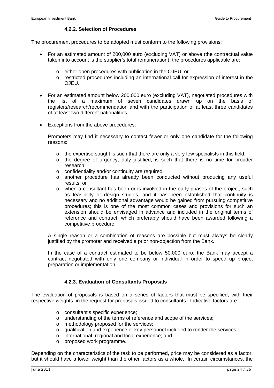#### **4.2.2. Selection of Procedures**

The procurement procedures to be adopted must conform to the following provisions:

- For an estimated amount of 200,000 euro (excluding VAT) or above (the contractual value taken into account is the supplier's total remuneration), the procedures applicable are:
	- o either open procedures with publication in the OJEU; or
	- o restricted procedures including an international call for expression of interest in the OJEU.
- For an estimated amount below 200,000 euro (excluding VAT), negotiated procedures with the list of a maximum of seven candidates drawn up on the basis of registers/research/recommendation and with the participation of at least three candidates of at least two different nationalities.
- Exceptions from the above procedures:

Promoters may find it necessary to contact fewer or only one candidate for the following reasons:

- $\circ$  the expertise sought is such that there are only a very few specialists in this field;
- $\circ$  the degree of urgency, duly justified, is such that there is no time for broader research;
- o confidentiality and/or continuity are required;
- o another procedure has already been conducted without producing any useful results; or
- o when a consultant has been or is involved in the early phases of the project, such as feasibility or design studies, and it has been established that continuity is necessary and no additional advantage would be gained from pursuing competitive procedures; this is one of the most common cases and provisions for such an extension should be envisaged in advance and included in the original terms of reference and contract, which preferably should have been awarded following a competitive procedure.

A single reason or a combination of reasons are possible but must always be clearly justified by the promoter and received a prior non-objection from the Bank.

In the case of a contract estimated to be below 50,000 euro, the Bank may accept a contract negotiated with only one company or individual in order to speed up project preparation or implementation.

#### **4.2.3. Evaluation of Consultants Proposals**

The evaluation of proposals is based on a series of factors that must be specified, with their respective weights, in the request for proposals issued to consultants. Indicative factors are:

- o consultant's specific experience;
- o understanding of the terms of reference and scope of the services;
- o methodology proposed for the services;
- o qualification and experience of key personnel included to render the services;
- o international, regional and local experience; and
- o proposed work programme.

Depending on the characteristics of the task to be performed, price may be considered as a factor, but it should have a lower weight than the other factors as a whole. In certain circumstances, the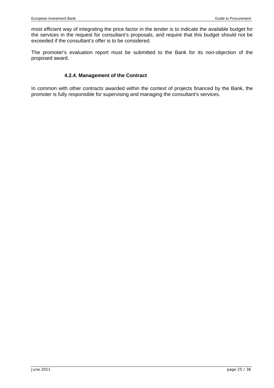most efficient way of integrating the price factor in the tender is to indicate the available budget for the services in the request for consultant's proposals, and require that this budget should not be exceeded if the consultant's offer is to be considered.

The promoter's evaluation report must be submitted to the Bank for its non-objection of the proposed award.

#### **4.2.4. Management of the Contract**

In common with other contracts awarded within the context of projects financed by the Bank, the promoter is fully responsible for supervising and managing the consultant's services.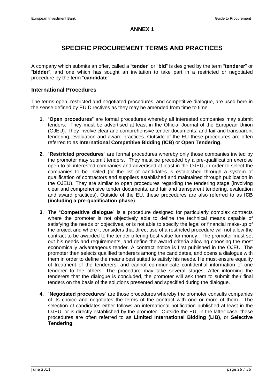#### **ANNEX 1**

# **SPECIFIC PROCUREMENT TERMS AND PRACTICES**

A company which submits an offer, called a "**tender**" or "**bid**" is designed by the term "**tenderer**" or "**bidder**", and one which has sought an invitation to take part in a restricted or negotiated procedure by the term "**candidate**".

#### **International Procedures**

The terms open, restricted and negotiated procedures, and competitive dialogue, are used here in the sense defined by EU Directives as they may be amended from time to time.

- **1.** "**Open procedures**" are formal procedures whereby all interested companies may submit tenders. They must be advertised at least in the Official Journal of the European Union (OJEU). They involve clear and comprehensive tender documents; and fair and transparent tendering, evaluation and award practices. Outside of the EU these procedures are often referred to as **International Competitive Bidding (ICB)** or **Open Tendering**.
- **2.** "**Restricted procedures**" are formal procedures whereby only those companies invited by the promoter may submit tenders. They must be preceded by a pre-qualification exercise open to all interested companies and advertised at least in the OJEU, in order to select the companies to be invited (or the list of candidates is established through a system of qualification of contractors and suppliers established and maintained through publication in the OJEU). They are similar to open procedures regarding the tendering stage (involving clear and comprehensive tender documents, and fair and transparent tendering, evaluation and award practices). Outside of the EU, these procedures are also referred to as **ICB (including a pre-qualification phase)**.
- **3.** The "**Competitive dialogue**" is a procedure designed for particularly complex contracts where the promoter is not objectively able to define the technical means capable of satisfying the needs or objectives, or is not able to specify the legal or financial make-up of the project and where it considers that direct use of a restricted procedure will not allow the contract to be awarded to the tender offering best value for money. The promoter must set out his needs and requirements, and define the award criteria allowing choosing the most economically advantageous tender. A contract notice is first published in the OJEU. The promoter then selects qualified tenderers among the candidates, and opens a dialogue with them in order to define the means best suited to satisfy his needs. He must ensure equality of treatment of the tenderers, and cannot communicate confidential information of one tenderer to the others. The procedure may take several stages. After informing the tenderers that the dialogue is concluded, the promoter will ask them to submit their final tenders on the basis of the solutions presented and specified during the dialogue.
- **4.** "**Negotiated procedures**" are those procedures whereby the promoter consults companies of its choice and negotiates the terms of the contract with one or more of them. The selection of candidates either follows an international notification published at least in the OJEU, or is directly established by the promoter. Outside the EU, in the latter case, these procedures are often referred to as **Limited International Bidding (LIB)**, or **Selective Tendering**.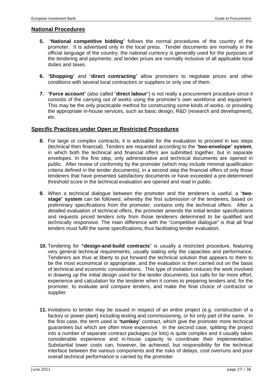#### **National Procedures**

- **5.** "**National competitive bidding**" follows the normal procedures of the country of the promoter. It is advertised only in the local press. Tender documents are normally in the official language of the country; the national currency is generally used for the purposes of the tendering and payments; and tender prices are normally inclusive of all applicable local duties and taxes.
- **6.** "**Shopping**" and "**direct contracting**" allow promoters to negotiate prices and other conditions with several local contractors or suppliers or only one of them.
- **7.** "**Force account**" (also called "**direct labour**") is not really a procurement procedure since it consists of the carrying out of works using the promoter's own workforce and equipment. This may be the only practicable method for constructing some kinds of works, or providing the appropriate in-house services, such as basic design, R&D (research and development), etc.

#### **Specific Practices under Open or Restricted Procedures**

- **8.** For large or complex contracts, it is advisable for the evaluation to proceed in two steps (technical then financial). Tenders are requested according to the "**two-envelope**" **system**, in which both the technical and financial offers are submitted together, but in separate envelopes. In the first step, only administrative and technical documents are opened in public. After review of conformity by the promoter (which may include minimal qualification criteria defined in the tender documents), in a second step the financial offers of only those tenderers that have presented satisfactory documents or have exceeded a pre-determined threshold score in the technical evaluation are opened and read in public.
- **9.** When a technical dialogue between the promoter and the tenderers is useful, a "**twostage**" **system** can be followed, whereby the first submission of the tenderers, based on preliminary specifications from the promoter, contains only the technical offers. After a detailed evaluation of technical offers, the promoter amends the initial tender specifications and requests priced tenders only from those tenderers determined to be qualified and technically responsive. The main difference with the "competitive dialogue" is that all final tenders must fulfil the same specifications, thus facilitating tender evaluation.
- **10.** Tendering for **"design-and-build contracts**" is usually a restricted procedure, featuring very general technical requirements, usually stating only the capacities and performance. Tenderers are thus at liberty to put forward the technical solution that appears to them to be the most economical or appropriate, and the evaluation is then carried out on the basis of technical and economic considerations. This type of invitation reduces the work involved in drawing up the initial design used for the tender documents, but calls for far more effort, experience and calculation for the tenderer when it comes to preparing tenders and, for the promoter, to evaluate and compare tenders, and make the final choice of contractor or supplier.
- **11.** Invitations to tender may be issued in respect of an entire project (e.g. construction of a factory or power plant) including testing and commissioning, or for only part of the same. In the first case, the term used is "**turnkey**" contract, which give the promoter more technical guarantees but which are often more expensive. In the second case, splitting the project into a number of separate contract packages (or lots) is quite complex and it usually takes considerable experience and in-house capacity to coordinate their implementation. Substantial lower costs can, however, be achieved, but responsibility for the technical interface between the various components and the risks of delays, cost overruns and poor overall technical performance is carried by the promoter.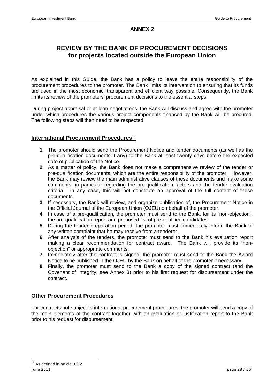#### **ANNEX 2**

# **REVIEW BY THE BANK OF PROCUREMENT DECISIONS for projects located outside the European Union**

As explained in this Guide, the Bank has a policy to leave the entire responsibility of the procurement procedures to the promoter. The Bank limits its intervention to ensuring that its funds are used in the most economic, transparent and efficient way possible. Consequently, the Bank limits its review of the promoters' procurement decisions to the essential steps.

During project appraisal or at loan negotiations, the Bank will discuss and agree with the promoter under which procedures the various project components financed by the Bank will be procured. The following steps will then need to be respected.

#### **International Procurement Procedures**<sup>11</sup>

- **1.** The promoter should send the Procurement Notice and tender documents (as well as the pre-qualification documents if any) to the Bank at least twenty days before the expected date of publication of the Notice.
- **2.** As a matter of policy, the Bank does not make a comprehensive review of the tender or pre-qualification documents, which are the entire responsibility of the promoter. However, the Bank may review the main administrative clauses of these documents and make some comments, in particular regarding the pre-qualification factors and the tender evaluation criteria. In any case, this will not constitute an approval of the full content of these documents.
- **3.** If necessary, the Bank will review, and organize publication of, the Procurement Notice in the Official Journal of the European Union (OJEU) on behalf of the promoter.
- **4.** In case of a pre-qualification, the promoter must send to the Bank, for its "non-objection", the pre-qualification report and proposed list of pre-qualified candidates.
- **5.** During the tender preparation period, the promoter must immediately inform the Bank of any written complaint that he may receive from a tenderer.
- **6.** After analysis of the tenders, the promoter must send to the Bank his evaluation report making a clear recommendation for contract award. The Bank will provide its "nonobjection" or appropriate comments.
- **7.** Immediately after the contract is signed, the promoter must send to the Bank the Award Notice to be published in the OJEU by the Bank on behalf of the promoter if necessary.
- **8.** Finally, the promoter must send to the Bank a copy of the signed contract (and the Covenant of Integrity, see Annex 3) prior to his first request for disbursement under the contract.

#### **Other Procurement Procedures**

For contracts not subject to international procurement procedures, the promoter will send a copy of the main elements of the contract together with an evaluation or justification report to the Bank prior to his request for disbursement.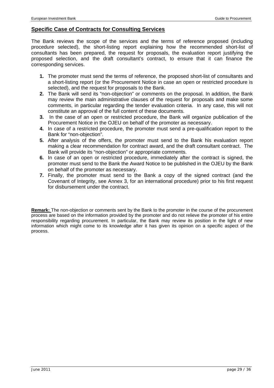#### **Specific Case of Contracts for Consulting Services**

The Bank reviews the scope of the services and the terms of reference proposed (including procedure selected), the short-listing report explaining how the recommended short-list of consultants has been prepared, the request for proposals, the evaluation report justifying the proposed selection, and the draft consultant's contract, to ensure that it can finance the corresponding services.

- **1.** The promoter must send the terms of reference, the proposed short-list of consultants and a short-listing report (or the Procurement Notice in case an open or restricted procedure is selected), and the request for proposals to the Bank.
- **2.** The Bank will send its "non-objection" or comments on the proposal. In addition, the Bank may review the main administrative clauses of the request for proposals and make some comments, in particular regarding the tender evaluation criteria. In any case, this will not constitute an approval of the full content of these documents.
- **3.** In the case of an open or restricted procedure, the Bank will organize publication of the Procurement Notice in the OJEU on behalf of the promoter as necessary.
- **4.** In case of a restricted procedure, the promoter must send a pre-qualification report to the Bank for "non-objection".
- **5.** After analysis of the offers, the promoter must send to the Bank his evaluation report making a clear recommendation for contract award, and the draft consultant contract. The Bank will provide its "non-objection" or appropriate comments.
- **6.** In case of an open or restricted procedure, immediately after the contract is signed, the promoter must send to the Bank the Award Notice to be published in the OJEU by the Bank on behalf of the promoter as necessary.
- **7.** Finally, the promoter must send to the Bank a copy of the signed contract (and the Covenant of Integrity, see Annex 3, for an international procedure) prior to his first request for disbursement under the contract.

**Remark:** The non-objection or comments sent by the Bank to the promoter in the course of the procurement process are based on the information provided by the promoter and do not relieve the promoter of his entire responsibility regarding procurement. In particular, the Bank may review its position in the light of new information which might come to its knowledge after it has given its opinion on a specific aspect of the process.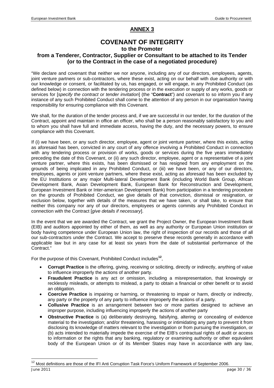#### **ANNEX 3**

# **COVENANT OF INTEGRITY**

#### **to the Promoter**

#### **from a Tenderer, Contractor, Supplier or Consultant to be attached to its Tender (or to the Contract in the case of a negotiated procedure)**

"We declare and covenant that neither we nor anyone, including any of our directors, employees, agents, joint venture partners or sub-contractors, where these exist, acting on our behalf with due authority or with our knowledge or consent, or facilitated by us, has engaged, or will engage, in any Prohibited Conduct (as defined below) in connection with the tendering process or in the execution or supply of any works, goods or services for [*specify the contract or tender invitation*] (the "**Contract**") and covenant to so inform you if any instance of any such Prohibited Conduct shall come to the attention of any person in our organisation having responsibility for ensuring compliance with this Covenant.

We shall, for the duration of the tender process and, if we are successful in our tender, for the duration of the Contract, appoint and maintain in office an officer, who shall be a person reasonably satisfactory to you and to whom you shall have full and immediate access, having the duty, and the necessary powers, to ensure compliance with this Covenant.

If (i) we have been, or any such director, employee, agent or joint venture partner, where this exists, acting as aforesaid has been, convicted in any court of any offence involving a Prohibited Conduct in connection with any tendering process or provision of works, goods or services during the five years immediately preceding the date of this Covenant, or (ii) any such director, employee, agent or a representative of a joint venture partner, where this exists, has been dismissed or has resigned from any employment on the grounds of being implicated in any Prohibited Conduct, or (iii) we have been, or any of our directors, employees, agents or joint venture partners, where these exist, acting as aforesaid has been excluded by the EU Institutions or any major Multi-lateral Development Bank (including World Bank Group, African Development Bank, Asian Development Bank, European Bank for Reconstruction and Development, European Investment Bank or Inter-american Development Bank) from participation in a tendering procedure on the grounds of Prohibited Conduct, we give details of that conviction, dismissal or resignation, or exclusion below, together with details of the measures that we have taken, or shall take, to ensure that neither this company nor any of our directors, employees or agents commits any Prohibited Conduct in connection with the Contract [*give details if necessary*].

In the event that we are awarded the Contract, we grant the Project Owner, the European Investment Bank (EIB) and auditors appointed by either of them, as well as any authority or European Union institution or body having competence under European Union law, the right of inspection of our records and those of all our sub-contractors under the Contract. We accept to preserve these records generally in accordance with applicable law but in any case for at least six years from the date of substantial performance of the Contract."

For the purpose of this Covenant, Prohibited Conduct includes**<sup>12</sup>**,

l

- **Corrupt Practice** is the offering, giving, receiving or soliciting, directly or indirectly, anything of value to influence improperly the actions of another party.
- **Fraudulent Practice** is any act or omission, including a misrepresentation, that knowingly or recklessly misleads, or attempts to mislead, a party to obtain a financial or other benefit or to avoid an obligation.
- **Coercive Practice** is impairing or harming, or threatening to impair or harm, directly or indirectly, any party or the property of any party to influence improperly the actions of a party.
- **Collusive Practice** is an arrangement between two or more parties designed to achieve an improper purpose, including influencing improperly the actions of another party
- **Obstructive Practice** is (a) deliberately destroying, falsifying, altering or concealing of evidence material to the investigation; and/or threatening, harassing or intimidating any party to prevent it from disclosing its knowledge of matters relevant to the investigation or from pursuing the investigation, or (b) acts intended to materially impede the exercise of the EIB's contractual rights of audit or access to information or the rights that any banking, regulatory or examining authority or other equivalent body of the European Union or of its Member States may have in accordance with any law,

June 2011 page 30 / 36 <sup>12</sup> Most definitions are those of the IFI Anti Corruption Task Force's Uniform Framework of September 2006.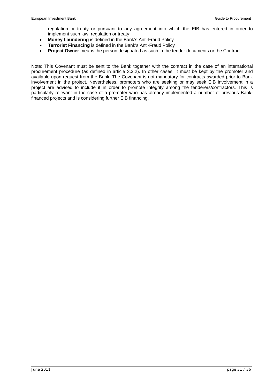regulation or treaty or pursuant to any agreement into which the EIB has entered in order to implement such law, regulation or treaty;

- **Money Laundering** is defined in the Bank's Anti-Fraud Policy
- **Terrorist Financing** is defined in the Bank's Anti-Fraud Policy
- **Project Owner** means the person designated as such in the tender documents or the Contract.

Note: This Covenant must be sent to the Bank together with the contract in the case of an international procurement procedure (as defined in article 3.3.2). In other cases, it must be kept by the promoter and available upon request from the Bank. The Covenant is not mandatory for contracts awarded prior to Bank involvement in the project. Nevertheless, promoters who are seeking or may seek EIB involvement in a project are advised to include it in order to promote integrity among the tenderers/contractors. This is particularly relevant in the case of a promoter who has already implemented a number of previous Bankfinanced projects and is considering further EIB financing.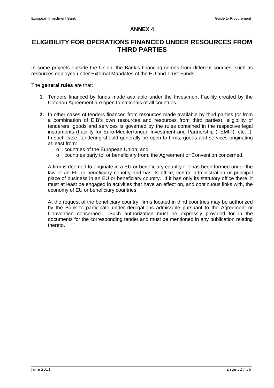#### **ANNEX 4**

# **ELIGIBILITY FOR OPERATIONS FINANCED UNDER RESOURCES FROM THIRD PARTIES**

In some projects outside the Union, the Bank's financing comes from different sources, such as resources deployed under External Mandates of the EU and Trust Funds.

#### The **general rules** are that:

- **1.** Tenders financed by funds made available under the Investment Facility created by the Cotonou Agreement are open to nationals of all countries.
- **2.** In other cases of tenders financed from resources made available by third parties (or from a combination of EIB's own resources and resources from third parties), eligibility of tenderers, goods and services is governed by the rules contained in the respective legal instruments (Facility for Euro-Mediterranean Investment and Partnership (FEMIP); etc…). In such case, tendering should generally be open to firms, goods and services originating at least from:
	- o countries of the European Union; and
	- o countries party to, or beneficiary from, the Agreement or Convention concerned.

A firm is deemed to originate in a EU or beneficiary country if it has been formed under the law of an EU or beneficiary country and has its office, central administration or principal place of business in an EU or beneficiary country. If it has only its statutory office there, it must at least be engaged in activities that have an effect on, and continuous links with, the economy of EU or beneficiary countries.

At the request of the beneficiary country, firms located in third countries may be authorized by the Bank to participate under derogations admissible pursuant to the Agreement or Convention concerned. Such authorization must be expressly provided for in the documents for the corresponding tender and must be mentioned in any publication relating thereto.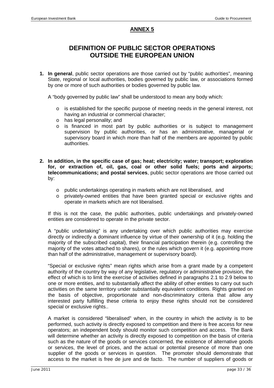#### **ANNEX 5**

# **DEFINITION OF PUBLIC SECTOR OPERATIONS OUTSIDE THE EUROPEAN UNION**

**1. In general**, public sector operations are those carried out by "public authorities", meaning State, regional or local authorities, bodies governed by public law, or associations formed by one or more of such authorities or bodies governed by public law.

A "body governed by public law" shall be understood to mean any body which:

- o is established for the specific purpose of meeting needs in the general interest, not having an industrial or commercial character;
- o has legal personality; and
- o is financed in most part by public authorities or is subject to management supervision by public authorities, or has an administrative, managerial or supervisory board in which more than half of the members are appointed by public authorities.
- **2. In addition, in the specific case of gas; heat; electricity; water; transport; exploration for, or extraction of, oil, gas, coal or other solid fuels; ports and airports; telecommunications; and postal services**, public sector operations are those carried out by:
	- o public undertakings operating in markets which are not liberalised, and
	- o privately-owned entities that have been granted special or exclusive rights and operate in markets which are not liberalised.

If this is not the case, the public authorities, public undertakings and privately-owned entities are considered to operate in the private sector.

A "public undertaking" is any undertaking over which public authorities may exercise directly or indirectly a dominant influence by virtue of their ownership of it (e.g. holding the majority of the subscribed capital), their financial participation therein (e.g. controlling the majority of the votes attached to shares), or the rules which govern it (e.g. appointing more than half of the administrative, management or supervisory board).

"Special or exclusive rights" mean rights which arise from a grant made by a competent authority of the country by way of any legislative, regulatory or administrative provision, the effect of which is to limit the exercise of activities defined in paragraphs 2.1 to 2.9 below to one or more entities, and to substantially affect the ability of other entities to carry out such activities on the same territory under substantially equivalent conditions. Rights granted on the basis of objective, proportionate and non-discriminatory criteria that allow any interested party fulfilling these criteria to enjoy these rights should not be considered special or exclusive rights..

A market is considered "liberalised" when, in the country in which the activity is to be performed, such activity is directly exposed to competition and there is free access for new operators; an independent body should monitor such competition and access. The Bank will determine whether an activity is directly exposed to competition on the basis of criteria such as the nature of the goods or services concerned, the existence of alternative goods or services, the level of prices, and the actual or potential presence of more than one supplier of the goods or services in question. The promoter should demonstrate that access to the market is free de jure and de facto. The number of suppliers of goods or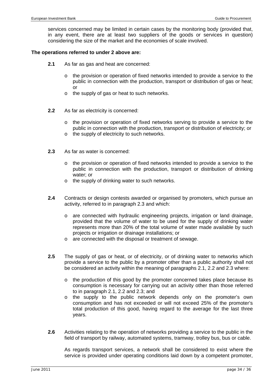services concerned may be limited in certain cases by the monitoring body (provided that, in any event, there are at least two suppliers of the goods or services in question) considering the size of the market and the economies of scale involved.

#### **The operations referred to under 2 above are:**

- **2.1** As far as gas and heat are concerned:
	- $\circ$  the provision or operation of fixed networks intended to provide a service to the public in connection with the production, transport or distribution of gas or heat; or
	- o the supply of gas or heat to such networks.
- **2.2** As far as electricity is concerned:
	- o the provision or operation of fixed networks serving to provide a service to the public in connection with the production, transport or distribution of electricity; or
	- o the supply of electricity to such networks.
- **2.3** As far as water is concerned:
	- $\circ$  the provision or operation of fixed networks intended to provide a service to the public in connection with the production, transport or distribution of drinking water; or
	- o the supply of drinking water to such networks.
- **2.4** Contracts or design contests awarded or organised by promoters, which pursue an activity, referred to in paragraph 2.3 and which:
	- are connected with hydraulic engineering projects, irrigation or land drainage, provided that the volume of water to be used for the supply of drinking water represents more than 20% of the total volume of water made available by such projects or irrigation or drainage installations; or
	- o are connected with the disposal or treatment of sewage.
- **2.5** The supply of gas or heat, or of electricity, or of drinking water to networks which provide a service to the public by a promoter other than a public authority shall not be considered an activity within the meaning of paragraphs 2.1, 2.2 and 2.3 where:
	- o the production of this good by the promoter concerned takes place because its consumption is necessary for carrying out an activity other than those referred to in paragraph 2.1, 2.2 and 2.3; and
	- o the supply to the public network depends only on the promoter's own consumption and has not exceeded or will not exceed 25% of the promoter's total production of this good, having regard to the average for the last three years.
- **2.6** Activities relating to the operation of networks providing a service to the public in the field of transport by railway, automated systems, tramway, trolley bus, bus or cable.

As regards transport services, a network shall be considered to exist where the service is provided under operating conditions laid down by a competent promoter,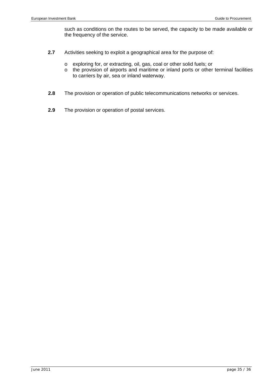such as conditions on the routes to be served, the capacity to be made available or the frequency of the service.

- **2.7** Activities seeking to exploit a geographical area for the purpose of:
	- o exploring for, or extracting, oil, gas, coal or other solid fuels; or
	- o the provision of airports and maritime or inland ports or other terminal facilities to carriers by air, sea or inland waterway.
- **2.8** The provision or operation of public telecommunications networks or services.
- **2.9** The provision or operation of postal services.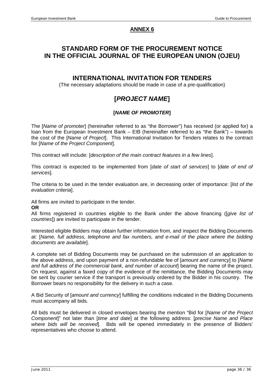#### **ANNEX 6**

### **STANDARD FORM OF THE PROCUREMENT NOTICE IN THE OFFICIAL JOURNAL OF THE EUROPEAN UNION (OJEU)**

#### **INTERNATIONAL INVITATION FOR TENDERS**

(The necessary adaptations should be made in case of a pre-qualification)

# **[***PROJECT NAME***]**

#### **[***NAME OF PROMOTER***]**

The [*Name of promoter*] (hereinafter referred to as "the Borrower") has received (or applied for) a loan from the European Investment Bank – EIB (hereinafter referred to as "the Bank") – towards the cost of the [*Name of Project*]. This International Invitation for Tenders relates to the contract for [*Name of the Project Component*].

This contract will include: [*description of the main contract features in a few lines*].

This contract is expected to be implemented from [*date of start of services*] to [*date of end of services*]*.*

The criteria to be used in the tender evaluation are, in decreasing order of importance: [*list of the evaluation criteria*].

All firms are invited to participate in the tender.

#### **OR**

All firms registered in countries eligible to the Bank under the above financing ([*giv*e *list of countries*]) are invited to participate in the tender.

Interested eligible Bidders may obtain further information from, and inspect the Bidding Documents at: [*Name, full address, telephone and fax numbers, and e-mail of the place where the bidding documents are available*].

A complete set of Bidding Documents may be purchased on the submission of an application to the above address, and upon payment of a non-refundable fee of [*amount and currency*] to [*Name*  and full address of the commercial bank, and number of account bearing the name of the project. On request, against a faxed copy of the evidence of the remittance, the Bidding Documents may be sent by courier service if the transport is previously ordered by the Bidder in his country. The Borrower bears no responsibility for the delivery in such a case.

A Bid Security of [*amount and currency*] fulfilling the conditions indicated in the Bidding Documents must accompany all bids.

All bids must be delivered in closed envelopes bearing the mention "Bid for [*Name of the Project Component*]" not later than [*time and date*] at the following address: [*precise Name and Place where bids will be received*]. Bids will be opened immediately in the presence of Bidders' representatives who choose to attend.